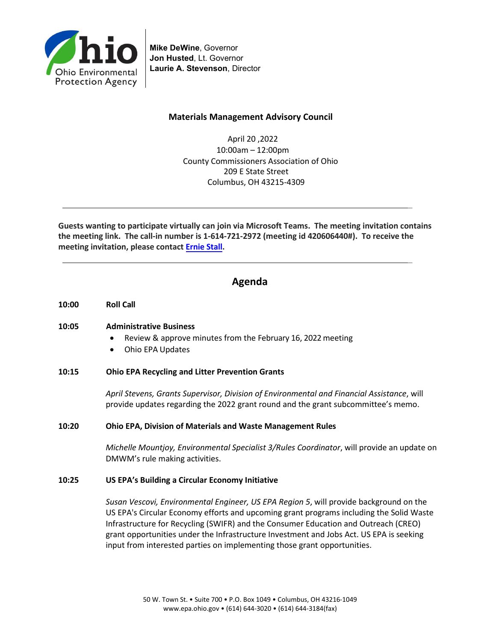

**Mike DeWine**, Governor **Jon Husted**, Lt. Governor **Laurie A. Stevenson**, Director

#### **Materials Management Advisory Council**

April 20 ,2022 10:00am – 12:00pm County Commissioners Association of Ohio 209 E State Street Columbus, OH 43215-4309

\_

\_

**Guests wanting to participate virtually can join via Microsoft Teams. The meeting invitation contains the meeting link. The call-in number is 1-614-721-2972 (meeting id 420606440#). To receive the meeting invitation, please contact [Ernie](mailto:ernest.stall@epa.ohio.gov) Stall.**

## **Agenda**

**10:00 Roll Call** 

#### **10:05 Administrative Business**

- Review & approve minutes from the February 16, 2022 meeting
- Ohio EPA Updates

#### **10:15 Ohio EPA Recycling and Litter Prevention Grants**

*April Stevens, Grants Supervisor, Division of Environmental and Financial Assistance*, will provide updates regarding the 2022 grant round and the grant subcommittee's memo.

#### **10:20 Ohio EPA, Division of Materials and Waste Management Rules**

*Michelle Mountjoy, Environmental Specialist 3/Rules Coordinator*, will provide an update on DMWM's rule making activities.

#### **10:25 US EPA's Building a Circular Economy Initiative**

*Susan Vescovi, Environmental Engineer, US EPA Region 5*, will provide background on the US EPA'[s Circular Economy](https://gcc02.safelinks.protection.outlook.com/?url=https%3A%2F%2Fwww.epa.gov%2Frecyclingstrategy%2Fwhat-circular-economy&data=04%7C01%7Cernest.stall%40epa.ohio.gov%7C24f5fb0b8fff4c8662c708da0daf50e6%7C50f8fcc494d84f0784eb36ed57c7c8a2%7C0%7C0%7C637837344026744285%7CUnknown%7CTWFpbGZsb3d8eyJWIjoiMC4wLjAwMDAiLCJQIjoiV2luMzIiLCJBTiI6Ik1haWwiLCJXVCI6Mn0%3D%7C3000&sdata=EfgbkZ0hNBiV8OVkpfDj6%2FfoUn7Qq%2Bl%2BCJjQBryfm98%3D&reserved=0) efforts and upcoming grant programs including the Solid Waste Infrastructure for Recycling (SWIFR) and the Consumer Education and Outreach (CREO) grant opportunities under th[e Infrastructure Investment and Jobs Act.](https://gcc02.safelinks.protection.outlook.com/?url=https%3A%2F%2Fwww.epa.gov%2Fsystem%2Ffiles%2Fdocuments%2F2022-02%2Forcr_bil_brochure.pdf&data=04%7C01%7Cernest.stall%40epa.ohio.gov%7C24f5fb0b8fff4c8662c708da0daf50e6%7C50f8fcc494d84f0784eb36ed57c7c8a2%7C0%7C0%7C637837344026744285%7CUnknown%7CTWFpbGZsb3d8eyJWIjoiMC4wLjAwMDAiLCJQIjoiV2luMzIiLCJBTiI6Ik1haWwiLCJXVCI6Mn0%3D%7C3000&sdata=Cq5jIO0IupSxvEX9KD%2BiuP3FeJESEARIMyDLB9DTKMI%3D&reserved=0) US EPA is seeking input from interested parties on implementing those grant opportunities.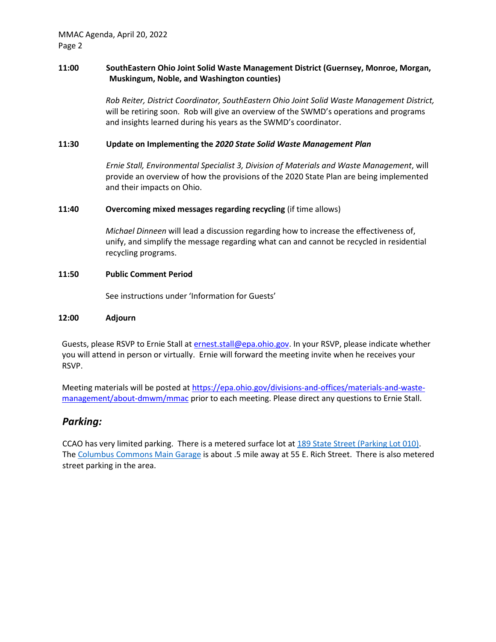#### **11:00 SouthEastern Ohio Joint Solid Waste Management District (Guernsey, Monroe, Morgan, Muskingum, Noble, and Washington counties)**

*Rob Reiter, District Coordinator, SouthEastern Ohio Joint Solid Waste Management District,* will be retiring soon. Rob will give an overview of the SWMD's operations and programs and insights learned during his years as the SWMD's coordinator.

#### **11:30 Update on Implementing the** *2020 State Solid Waste Management Plan*

*Ernie Stall, Environmental Specialist 3, Division of Materials and Waste Management*, will provide an overview of how the provisions of the 2020 State Plan are being implemented and their impacts on Ohio.

#### **11:40 Overcoming mixed messages regarding recycling** (if time allows)

*Michael Dinneen* will lead a discussion regarding how to increase the effectiveness of, unify, and simplify the message regarding what can and cannot be recycled in residential recycling programs.

#### **11:50 Public Comment Period**

See instructions under 'Information for Guests'

#### **12:00 Adjourn**

Guests, please RSVP to Ernie Stall a[t ernest.stall@epa.ohio.gov.](mailto:ernest.stall@epa.ohio.gov) In your RSVP, please indicate whether you will attend in person or virtually. Ernie will forward the meeting invite when he receives your RSVP.

Meeting materials will be posted at [https://epa.ohio.gov/divisions-and-offices/materials-and-waste](https://epa.ohio.gov/divisions-and-offices/materials-and-waste-management/about-dmwm/mmac)[management/about-dmwm/mmac](https://epa.ohio.gov/divisions-and-offices/materials-and-waste-management/about-dmwm/mmac) prior to each meeting. Please direct any questions to Ernie Stall.

### *Parking:*

CCAO has very limited parking. There is a metered surface lot at [189 State Street \(Parking Lot 010\).](https://www.google.com/maps/dir/Parking+Lot+010,+189+E+State+St,+Columbus,+OH+43215/@39.960649,-82.9972437,17z/data=!4m8!4m7!1m0!1m5!1m1!1s0x88388f336ca2c7a9:0x6fb5cbeda1972c6f!2m2!1d-82.995055!2d39.960649) The [Columbus Commons Main Garage](https://www.google.com/maps/dir/39.9611755,-82.9987942/columbus+commons+main+garage/@39.9588418,-83.0000624,17z/data=!3m1!4b1!4m9!4m8!1m1!4e1!1m5!1m1!1s0x88388f3656a0c6bd:0x792e2e4b04d6d5ce!2m2!1d-82.998142!2d39.9565409) is about .5 mile away at 55 E. Rich Street. There is also metered street parking in the area.